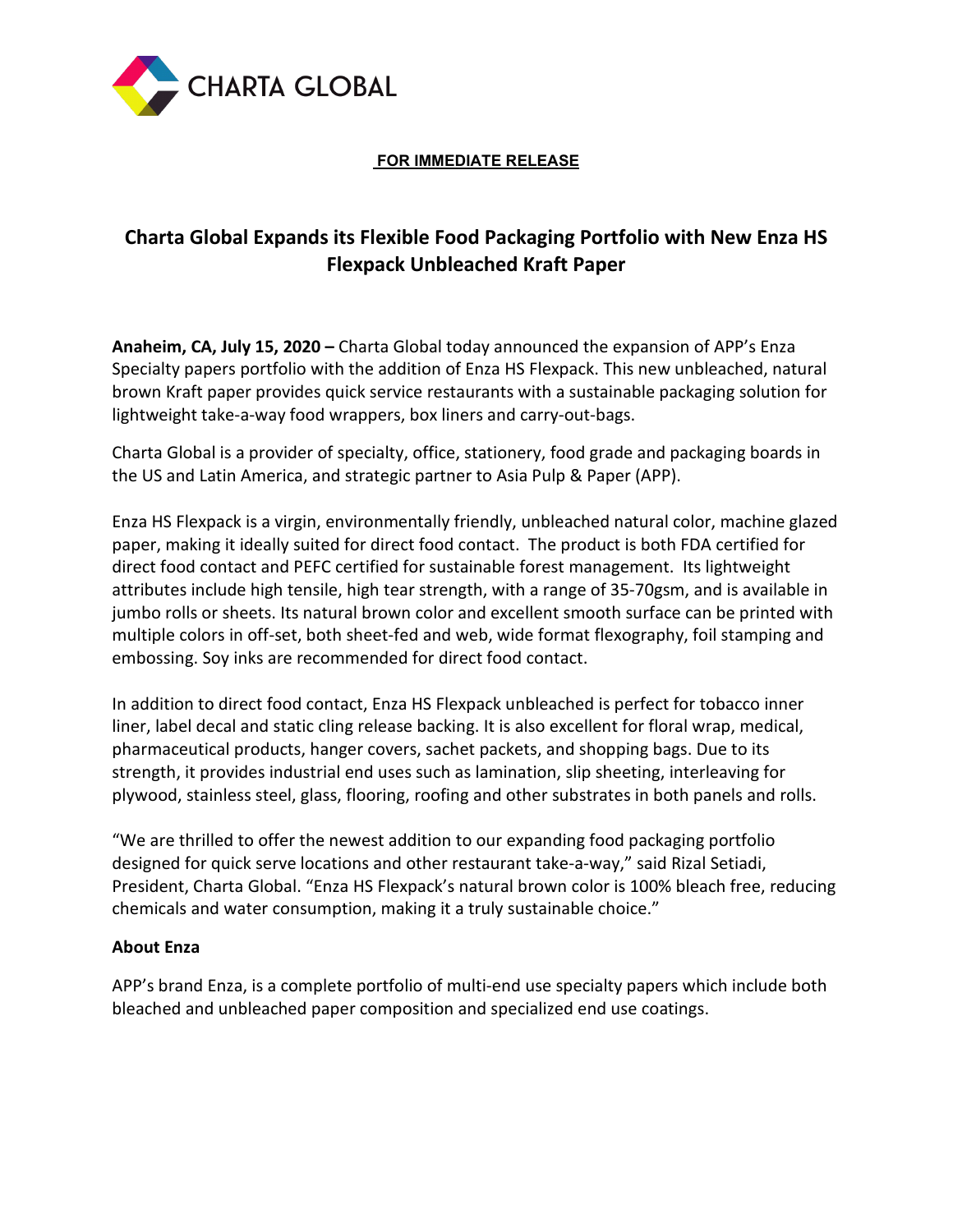

## **FOR IMMEDIATE RELEASE**

# **Charta Global Expands its Flexible Food Packaging Portfolio with New Enza HS Flexpack Unbleached Kraft Paper**

**Anaheim, CA, July 15, 2020 –** Charta Global today announced the expansion of APP's Enza Specialty papers portfolio with the addition of Enza HS Flexpack. This new unbleached, natural brown Kraft paper provides quick service restaurants with a sustainable packaging solution for lightweight take-a-way food wrappers, box liners and carry-out-bags.

Charta Global is a provider of specialty, office, stationery, food grade and packaging boards in the US and Latin America, and strategic partner to Asia Pulp & Paper (APP).

Enza HS Flexpack is a virgin, environmentally friendly, unbleached natural color, machine glazed paper, making it ideally suited for direct food contact. The product is both FDA certified for direct food contact and PEFC certified for sustainable forest management. Its lightweight attributes include high tensile, high tear strength, with a range of 35-70gsm, and is available in jumbo rolls or sheets. Its natural brown color and excellent smooth surface can be printed with multiple colors in off-set, both sheet-fed and web, wide format flexography, foil stamping and embossing. Soy inks are recommended for direct food contact.

In addition to direct food contact, Enza HS Flexpack unbleached is perfect for tobacco inner liner, label decal and static cling release backing. It is also excellent for floral wrap, medical, pharmaceutical products, hanger covers, sachet packets, and shopping bags. Due to its strength, it provides industrial end uses such as lamination, slip sheeting, interleaving for plywood, stainless steel, glass, flooring, roofing and other substrates in both panels and rolls.

"We are thrilled to offer the newest addition to our expanding food packaging portfolio designed for quick serve locations and other restaurant take-a-way," said Rizal Setiadi, President, Charta Global. "Enza HS Flexpack's natural brown color is 100% bleach free, reducing chemicals and water consumption, making it a truly sustainable choice."

## **About Enza**

APP's brand Enza, is a complete portfolio of multi-end use specialty papers which include both bleached and unbleached paper composition and specialized end use coatings.